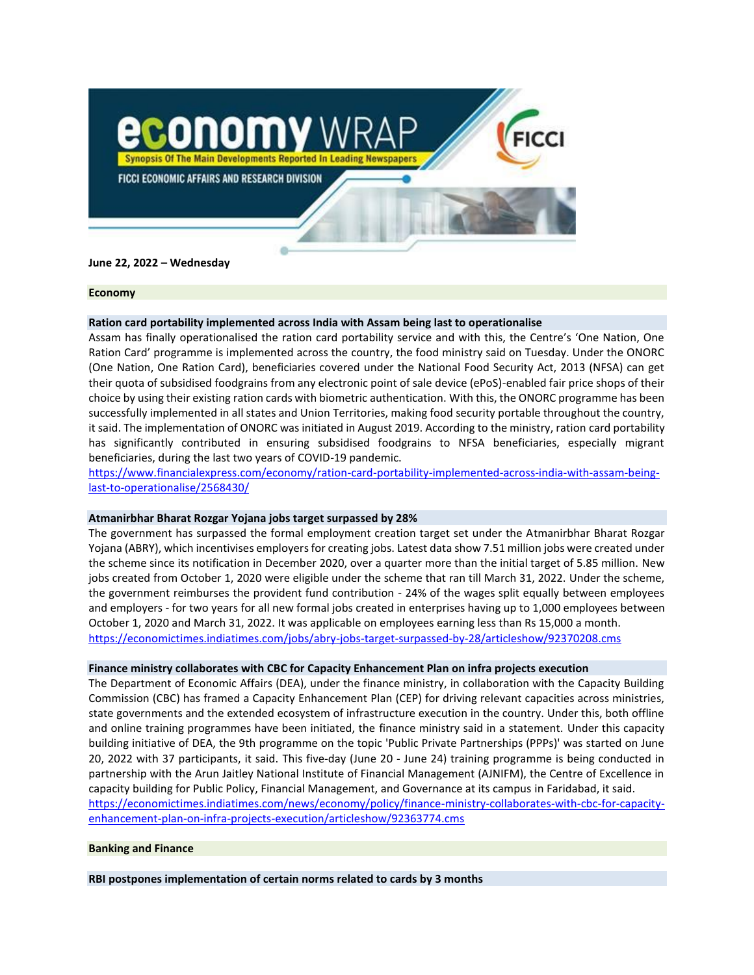

## **June 22, 2022 – Wednesday**

#### **Economy**

### **Ration card portability implemented across India with Assam being last to operationalise**

Assam has finally operationalised the ration card portability service and with this, the Centre's 'One Nation, One Ration Card' programme is implemented across the country, the food ministry said on Tuesday. Under the ONORC (One Nation, One Ration Card), beneficiaries covered under the National Food Security Act, 2013 (NFSA) can get their quota of subsidised foodgrains from any electronic point of sale device (ePoS)-enabled fair price shops of their choice by using their existing ration cards with biometric authentication. With this, the ONORC programme has been successfully implemented in all states and Union Territories, making food security portable throughout the country, it said. The implementation of ONORC was initiated in August 2019. According to the ministry, ration card portability has significantly contributed in ensuring subsidised foodgrains to NFSA beneficiaries, especially migrant beneficiaries, during the last two years of COVID-19 pandemic.

[https://www.financialexpress.com/economy/ration-card-portability-implemented-across-india-with-assam-being](https://www.financialexpress.com/economy/ration-card-portability-implemented-across-india-with-assam-being-last-to-operationalise/2568430/)[last-to-operationalise/2568430/](https://www.financialexpress.com/economy/ration-card-portability-implemented-across-india-with-assam-being-last-to-operationalise/2568430/)

#### **Atmanirbhar Bharat Rozgar Yojana jobs target surpassed by 28%**

The government has surpassed the formal employment creation target set under the Atmanirbhar Bharat Rozgar Yojana (ABRY), which incentivises employers for creating jobs. Latest data show 7.51 million jobs were created under the scheme since its notification in December 2020, over a quarter more than the initial target of 5.85 million. New jobs created from October 1, 2020 were eligible under the scheme that ran till March 31, 2022. Under the scheme, the government reimburses the provident fund contribution - 24% of the wages split equally between employees and employers - for two years for all new formal jobs created in enterprises having up to 1,000 employees between October 1, 2020 and March 31, 2022. It was applicable on employees earning less than Rs 15,000 a month. <https://economictimes.indiatimes.com/jobs/abry-jobs-target-surpassed-by-28/articleshow/92370208.cms>

#### **Finance ministry collaborates with CBC for Capacity Enhancement Plan on infra projects execution**

The Department of Economic Affairs (DEA), under the finance ministry, in collaboration with the Capacity Building Commission (CBC) has framed a Capacity Enhancement Plan (CEP) for driving relevant capacities across ministries, state governments and the extended ecosystem of infrastructure execution in the country. Under this, both offline and online training programmes have been initiated, the finance ministry said in a statement. Under this capacity building initiative of DEA, the 9th programme on the topic 'Public Private Partnerships (PPPs)' was started on June 20, 2022 with 37 participants, it said. This five-day (June 20 - June 24) training programme is being conducted in partnership with the Arun Jaitley National Institute of Financial Management (AJNIFM), the Centre of Excellence in capacity building for Public Policy, Financial Management, and Governance at its campus in Faridabad, it said. [https://economictimes.indiatimes.com/news/economy/policy/finance-ministry-collaborates-with-cbc-for-capacity](https://economictimes.indiatimes.com/news/economy/policy/finance-ministry-collaborates-with-cbc-for-capacity-enhancement-plan-on-infra-projects-execution/articleshow/92363774.cms)[enhancement-plan-on-infra-projects-execution/articleshow/92363774.cms](https://economictimes.indiatimes.com/news/economy/policy/finance-ministry-collaborates-with-cbc-for-capacity-enhancement-plan-on-infra-projects-execution/articleshow/92363774.cms)

## **Banking and Finance**

**RBI postpones implementation of certain norms related to cards by 3 months**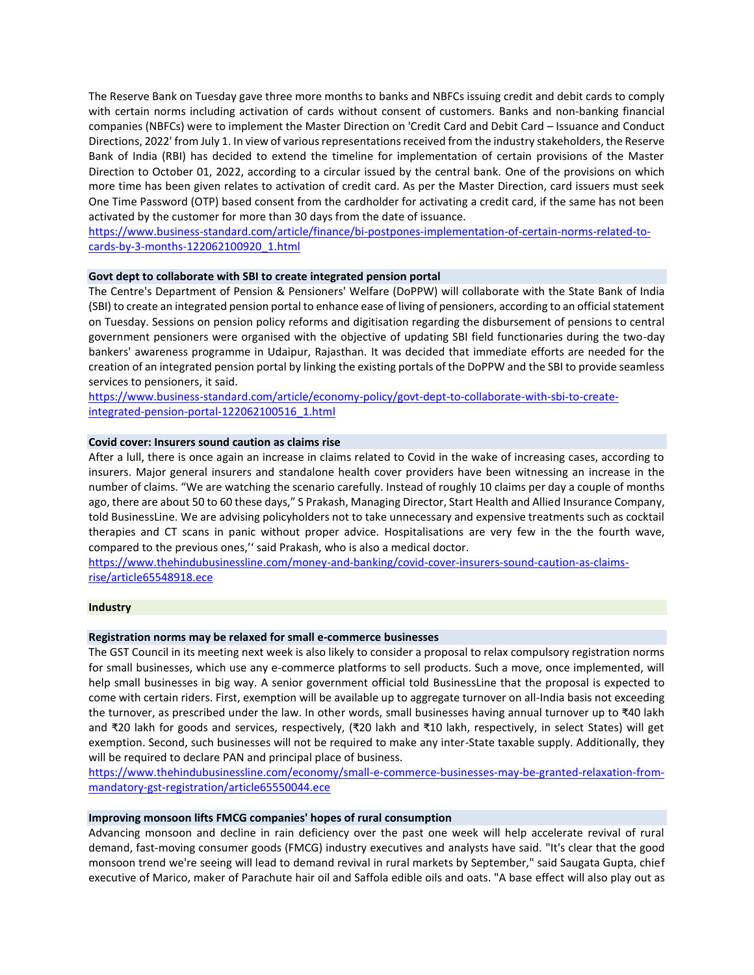The Reserve Bank on Tuesday gave three more months to banks and NBFCs issuing credit and debit cards to comply with certain norms including activation of cards without consent of customers. Banks and non-banking financial companies (NBFCs) were to implement the Master Direction on 'Credit Card and Debit Card – Issuance and Conduct Directions, 2022' from July 1. In view of various representations received from the industry stakeholders, the Reserve Bank of India (RBI) has decided to extend the timeline for implementation of certain provisions of the Master Direction to October 01, 2022, according to a circular issued by the central bank. One of the provisions on which more time has been given relates to activation of credit card. As per the Master Direction, card issuers must seek One Time Password (OTP) based consent from the cardholder for activating a credit card, if the same has not been activated by the customer for more than 30 days from the date of issuance.

[https://www.business-standard.com/article/finance/bi-postpones-implementation-of-certain-norms-related-to](https://www.business-standard.com/article/finance/bi-postpones-implementation-of-certain-norms-related-to-cards-by-3-months-122062100920_1.html)[cards-by-3-months-122062100920\\_1.html](https://www.business-standard.com/article/finance/bi-postpones-implementation-of-certain-norms-related-to-cards-by-3-months-122062100920_1.html)

#### **Govt dept to collaborate with SBI to create integrated pension portal**

The Centre's Department of Pension & Pensioners' Welfare (DoPPW) will collaborate with the State Bank of India (SBI) to create an integrated pension portal to enhance ease of living of pensioners, according to an official statement on Tuesday. Sessions on pension policy reforms and digitisation regarding the disbursement of pensions to central government pensioners were organised with the objective of updating SBI field functionaries during the two-day bankers' awareness programme in Udaipur, Rajasthan. It was decided that immediate efforts are needed for the creation of an integrated pension portal by linking the existing portals of the DoPPW and the SBI to provide seamless services to pensioners, it said.

[https://www.business-standard.com/article/economy-policy/govt-dept-to-collaborate-with-sbi-to-create](https://www.business-standard.com/article/economy-policy/govt-dept-to-collaborate-with-sbi-to-create-integrated-pension-portal-122062100516_1.html)[integrated-pension-portal-122062100516\\_1.html](https://www.business-standard.com/article/economy-policy/govt-dept-to-collaborate-with-sbi-to-create-integrated-pension-portal-122062100516_1.html)

## **Covid cover: Insurers sound caution as claims rise**

After a lull, there is once again an increase in claims related to Covid in the wake of increasing cases, according to insurers. Major general insurers and standalone health cover providers have been witnessing an increase in the number of claims. "We are watching the scenario carefully. Instead of roughly 10 claims per day a couple of months ago, there are about 50 to 60 these days," S Prakash, Managing Director, Start Health and Allied Insurance Company, told BusinessLine. We are advising policyholders not to take unnecessary and expensive treatments such as cocktail therapies and CT scans in panic without proper advice. Hospitalisations are very few in the the fourth wave, compared to the previous ones,'' said Prakash, who is also a medical doctor.

[https://www.thehindubusinessline.com/money-and-banking/covid-cover-insurers-sound-caution-as-claims](https://www.thehindubusinessline.com/money-and-banking/covid-cover-insurers-sound-caution-as-claims-rise/article65548918.ece)[rise/article65548918.ece](https://www.thehindubusinessline.com/money-and-banking/covid-cover-insurers-sound-caution-as-claims-rise/article65548918.ece)

## **Industry**

## **Registration norms may be relaxed for small e-commerce businesses**

The GST Council in its meeting next week is also likely to consider a proposal to relax compulsory registration norms for small businesses, which use any e-commerce platforms to sell products. Such a move, once implemented, will help small businesses in big way. A senior government official told BusinessLine that the proposal is expected to come with certain riders. First, exemption will be available up to aggregate turnover on all-India basis not exceeding the turnover, as prescribed under the law. In other words, small businesses having annual turnover up to ₹40 lakh and ₹20 lakh for goods and services, respectively, (₹20 lakh and ₹10 lakh, respectively, in select States) will get exemption. Second, such businesses will not be required to make any inter-State taxable supply. Additionally, they will be required to declare PAN and principal place of business.

[https://www.thehindubusinessline.com/economy/small-e-commerce-businesses-may-be-granted-relaxation-from](https://www.thehindubusinessline.com/economy/small-e-commerce-businesses-may-be-granted-relaxation-from-mandatory-gst-registration/article65550044.ece)[mandatory-gst-registration/article65550044.ece](https://www.thehindubusinessline.com/economy/small-e-commerce-businesses-may-be-granted-relaxation-from-mandatory-gst-registration/article65550044.ece)

## **Improving monsoon lifts FMCG companies' hopes of rural consumption**

Advancing monsoon and decline in rain deficiency over the past one week will help accelerate revival of rural demand, fast-moving consumer goods (FMCG) industry executives and analysts have said. "It's clear that the good monsoon trend we're seeing will lead to demand revival in rural markets by September," said Saugata Gupta, chief executive of Marico, maker of Parachute hair oil and Saffola edible oils and oats. "A base effect will also play out as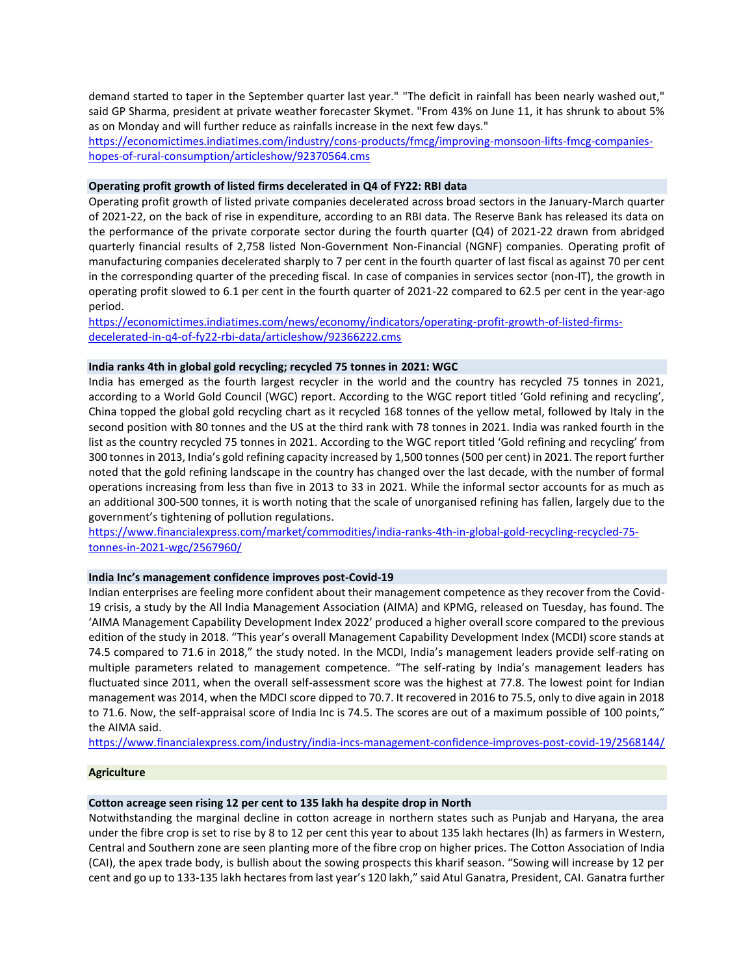demand started to taper in the September quarter last year." "The deficit in rainfall has been nearly washed out," said GP Sharma, president at private weather forecaster Skymet. "From 43% on June 11, it has shrunk to about 5% as on Monday and will further reduce as rainfalls increase in the next few days."

[https://economictimes.indiatimes.com/industry/cons-products/fmcg/improving-monsoon-lifts-fmcg-companies](https://economictimes.indiatimes.com/industry/cons-products/fmcg/improving-monsoon-lifts-fmcg-companies-hopes-of-rural-consumption/articleshow/92370564.cms)[hopes-of-rural-consumption/articleshow/92370564.cms](https://economictimes.indiatimes.com/industry/cons-products/fmcg/improving-monsoon-lifts-fmcg-companies-hopes-of-rural-consumption/articleshow/92370564.cms)

## **Operating profit growth of listed firms decelerated in Q4 of FY22: RBI data**

Operating profit growth of listed private companies decelerated across broad sectors in the January-March quarter of 2021-22, on the back of rise in expenditure, according to an RBI data. The Reserve Bank has released its data on the performance of the private corporate sector during the fourth quarter (Q4) of 2021-22 drawn from abridged quarterly financial results of 2,758 listed Non-Government Non-Financial (NGNF) companies. Operating profit of manufacturing companies decelerated sharply to 7 per cent in the fourth quarter of last fiscal as against 70 per cent in the corresponding quarter of the preceding fiscal. In case of companies in services sector (non-IT), the growth in operating profit slowed to 6.1 per cent in the fourth quarter of 2021-22 compared to 62.5 per cent in the year-ago period.

[https://economictimes.indiatimes.com/news/economy/indicators/operating-profit-growth-of-listed-firms](https://economictimes.indiatimes.com/news/economy/indicators/operating-profit-growth-of-listed-firms-decelerated-in-q4-of-fy22-rbi-data/articleshow/92366222.cms)[decelerated-in-q4-of-fy22-rbi-data/articleshow/92366222.cms](https://economictimes.indiatimes.com/news/economy/indicators/operating-profit-growth-of-listed-firms-decelerated-in-q4-of-fy22-rbi-data/articleshow/92366222.cms)

## **India ranks 4th in global gold recycling; recycled 75 tonnes in 2021: WGC**

India has emerged as the fourth largest recycler in the world and the country has recycled 75 tonnes in 2021, according to a World Gold Council (WGC) report. According to the WGC report titled 'Gold refining and recycling', China topped the global gold recycling chart as it recycled 168 tonnes of the yellow metal, followed by Italy in the second position with 80 tonnes and the US at the third rank with 78 tonnes in 2021. India was ranked fourth in the list as the country recycled 75 tonnes in 2021. According to the WGC report titled 'Gold refining and recycling' from 300 tonnes in 2013, India's gold refining capacity increased by 1,500 tonnes (500 per cent) in 2021. The report further noted that the gold refining landscape in the country has changed over the last decade, with the number of formal operations increasing from less than five in 2013 to 33 in 2021. While the informal sector accounts for as much as an additional 300-500 tonnes, it is worth noting that the scale of unorganised refining has fallen, largely due to the government's tightening of pollution regulations.

[https://www.financialexpress.com/market/commodities/india-ranks-4th-in-global-gold-recycling-recycled-75](https://www.financialexpress.com/market/commodities/india-ranks-4th-in-global-gold-recycling-recycled-75-tonnes-in-2021-wgc/2567960/) [tonnes-in-2021-wgc/2567960/](https://www.financialexpress.com/market/commodities/india-ranks-4th-in-global-gold-recycling-recycled-75-tonnes-in-2021-wgc/2567960/)

## **India Inc's management confidence improves post-Covid-19**

Indian enterprises are feeling more confident about their management competence as they recover from the Covid-19 crisis, a study by the All India Management Association (AIMA) and KPMG, released on Tuesday, has found. The 'AIMA Management Capability Development Index 2022' produced a higher overall score compared to the previous edition of the study in 2018. "This year's overall Management Capability Development Index (MCDI) score stands at 74.5 compared to 71.6 in 2018," the study noted. In the MCDI, India's management leaders provide self-rating on multiple parameters related to management competence. "The self-rating by India's management leaders has fluctuated since 2011, when the overall self-assessment score was the highest at 77.8. The lowest point for Indian management was 2014, when the MDCI score dipped to 70.7. It recovered in 2016 to 75.5, only to dive again in 2018 to 71.6. Now, the self-appraisal score of India Inc is 74.5. The scores are out of a maximum possible of 100 points," the AIMA said.

<https://www.financialexpress.com/industry/india-incs-management-confidence-improves-post-covid-19/2568144/>

#### **Agriculture**

## **Cotton acreage seen rising 12 per cent to 135 lakh ha despite drop in North**

Notwithstanding the marginal decline in cotton acreage in northern states such as Punjab and Haryana, the area under the fibre crop is set to rise by 8 to 12 per cent this year to about 135 lakh hectares (lh) as farmers in Western, Central and Southern zone are seen planting more of the fibre crop on higher prices. The Cotton Association of India (CAI), the apex trade body, is bullish about the sowing prospects this kharif season. "Sowing will increase by 12 per cent and go up to 133-135 lakh hectares from last year's 120 lakh," said Atul Ganatra, President, CAI. Ganatra further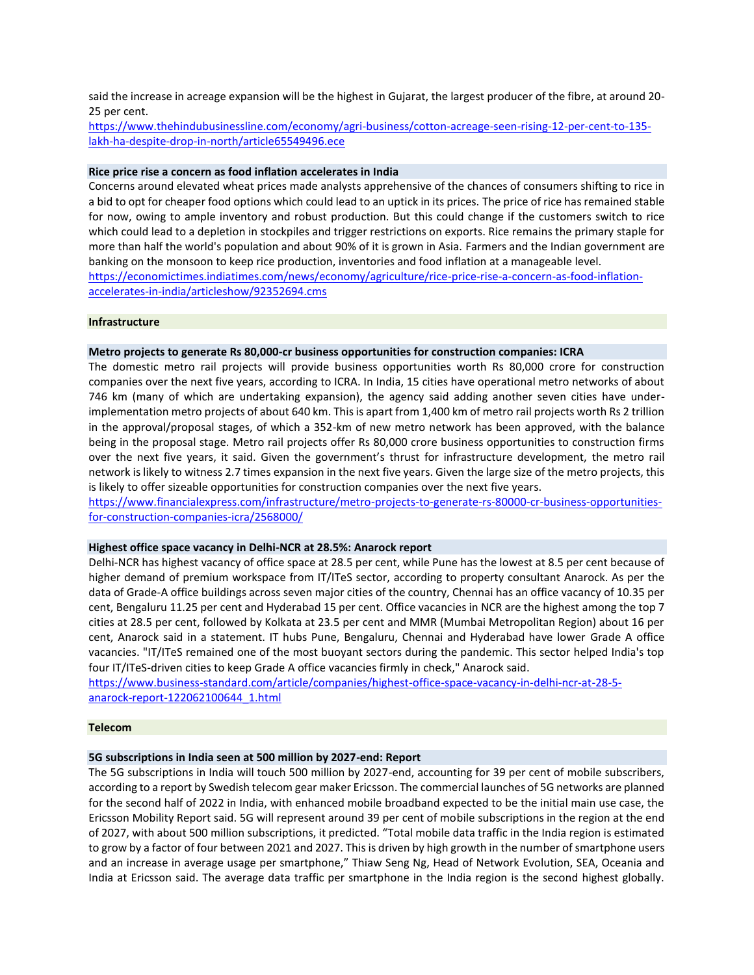said the increase in acreage expansion will be the highest in Gujarat, the largest producer of the fibre, at around 20- 25 per cent.

[https://www.thehindubusinessline.com/economy/agri-business/cotton-acreage-seen-rising-12-per-cent-to-135](https://www.thehindubusinessline.com/economy/agri-business/cotton-acreage-seen-rising-12-per-cent-to-135-lakh-ha-despite-drop-in-north/article65549496.ece) [lakh-ha-despite-drop-in-north/article65549496.ece](https://www.thehindubusinessline.com/economy/agri-business/cotton-acreage-seen-rising-12-per-cent-to-135-lakh-ha-despite-drop-in-north/article65549496.ece)

#### **Rice price rise a concern as food inflation accelerates in India**

Concerns around elevated wheat prices made analysts apprehensive of the chances of consumers shifting to rice in a bid to opt for cheaper food options which could lead to an uptick in its prices. The price of rice has remained stable for now, owing to ample inventory and robust production. But this could change if the customers switch to rice which could lead to a depletion in stockpiles and trigger restrictions on exports. Rice remains the primary staple for more than half the world's population and about 90% of it is grown in Asia. Farmers and the Indian government are banking on the monsoon to keep rice production, inventories and food inflation at a manageable level. [https://economictimes.indiatimes.com/news/economy/agriculture/rice-price-rise-a-concern-as-food-inflation](https://economictimes.indiatimes.com/news/economy/agriculture/rice-price-rise-a-concern-as-food-inflation-accelerates-in-india/articleshow/92352694.cms)[accelerates-in-india/articleshow/92352694.cms](https://economictimes.indiatimes.com/news/economy/agriculture/rice-price-rise-a-concern-as-food-inflation-accelerates-in-india/articleshow/92352694.cms)

#### **Infrastructure**

#### **Metro projects to generate Rs 80,000-cr business opportunities for construction companies: ICRA**

The domestic metro rail projects will provide business opportunities worth Rs 80,000 crore for construction companies over the next five years, according to ICRA. In India, 15 cities have operational metro networks of about 746 km (many of which are undertaking expansion), the agency said adding another seven cities have underimplementation metro projects of about 640 km. This is apart from 1,400 km of metro rail projects worth Rs 2 trillion in the approval/proposal stages, of which a 352-km of new metro network has been approved, with the balance being in the proposal stage. Metro rail projects offer Rs 80,000 crore business opportunities to construction firms over the next five years, it said. Given the government's thrust for infrastructure development, the metro rail network is likely to witness 2.7 times expansion in the next five years. Given the large size of the metro projects, this is likely to offer sizeable opportunities for construction companies over the next five years.

[https://www.financialexpress.com/infrastructure/metro-projects-to-generate-rs-80000-cr-business-opportunities](https://www.financialexpress.com/infrastructure/metro-projects-to-generate-rs-80000-cr-business-opportunities-for-construction-companies-icra/2568000/)[for-construction-companies-icra/2568000/](https://www.financialexpress.com/infrastructure/metro-projects-to-generate-rs-80000-cr-business-opportunities-for-construction-companies-icra/2568000/)

#### **Highest office space vacancy in Delhi-NCR at 28.5%: Anarock report**

Delhi-NCR has highest vacancy of office space at 28.5 per cent, while Pune has the lowest at 8.5 per cent because of higher demand of premium workspace from IT/ITeS sector, according to property consultant Anarock. As per the data of Grade-A office buildings across seven major cities of the country, Chennai has an office vacancy of 10.35 per cent, Bengaluru 11.25 per cent and Hyderabad 15 per cent. Office vacancies in NCR are the highest among the top 7 cities at 28.5 per cent, followed by Kolkata at 23.5 per cent and MMR (Mumbai Metropolitan Region) about 16 per cent, Anarock said in a statement. IT hubs Pune, Bengaluru, Chennai and Hyderabad have lower Grade A office vacancies. "IT/ITeS remained one of the most buoyant sectors during the pandemic. This sector helped India's top four IT/ITeS-driven cities to keep Grade A office vacancies firmly in check," Anarock said.

[https://www.business-standard.com/article/companies/highest-office-space-vacancy-in-delhi-ncr-at-28-5](https://www.business-standard.com/article/companies/highest-office-space-vacancy-in-delhi-ncr-at-28-5-anarock-report-122062100644_1.html) [anarock-report-122062100644\\_1.html](https://www.business-standard.com/article/companies/highest-office-space-vacancy-in-delhi-ncr-at-28-5-anarock-report-122062100644_1.html)

#### **Telecom**

#### **5G subscriptions in India seen at 500 million by 2027-end: Report**

The 5G subscriptions in India will touch 500 million by 2027-end, accounting for 39 per cent of mobile subscribers, according to a report by Swedish telecom gear maker Ericsson. The commercial launches of 5G networks are planned for the second half of 2022 in India, with enhanced mobile broadband expected to be the initial main use case, the Ericsson Mobility Report said. 5G will represent around 39 per cent of mobile subscriptions in the region at the end of 2027, with about 500 million subscriptions, it predicted. "Total mobile data traffic in the India region is estimated to grow by a factor of four between 2021 and 2027. This is driven by high growth in the number of smartphone users and an increase in average usage per smartphone," Thiaw Seng Ng, Head of Network Evolution, SEA, Oceania and India at Ericsson said. The average data traffic per smartphone in the India region is the second highest globally.